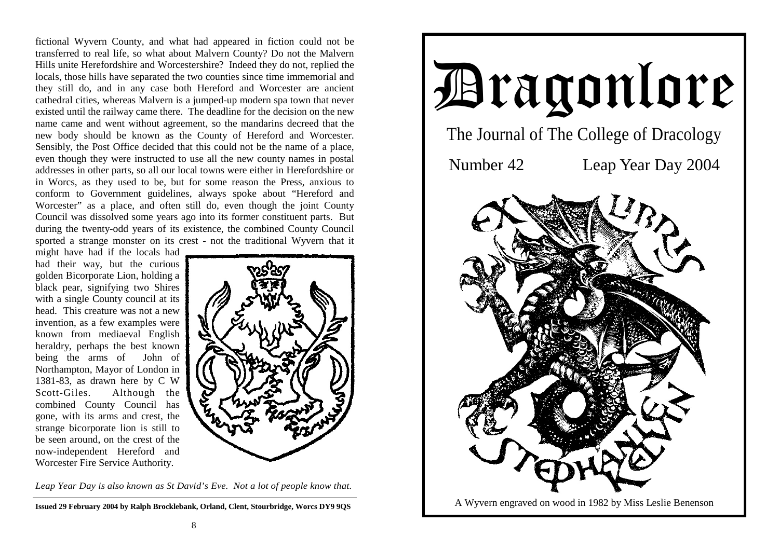fictional Wyvern County, and what had appeared in fiction could not be transferred to real life, so what about Malvern County? Do not the Malvern Hills unite Herefordshire and Worcestershire? Indeed they do not, replied the locals, those hills have separated the two counties since time immemorial and they still do, and in any case both Hereford and Worcester are ancient cathedral cities, whereas Malvern is a jumped-up modern spa town that never existed until the railway came there. The deadline for the decision on the new name came and went without agreement, so the mandarins decreed that the new body should be known as the County of Hereford and Worcester. Sensibly, the Post Office decided that this could not be the name of a place, even though they were instructed to use all the new county names in postal addresses in other parts, so all our local towns were either in Herefordshire or in Worcs, as they used to be, but for some reason the Press, anxious to conform to Government guidelines, always spoke about "Hereford and Worcester" as a place, and often still do, even though the joint County Council was dissolved some years ago into its former constituent parts. But during the twenty-odd years of its existence, the combined County Council sported a strange monster on its crest - not the traditional Wyvern that it

might have had if the locals had had their way, but the curious golden Bicorporate Lion, holding a black pear, signifying two Shires with a single County council at its head. This creature was not a new invention, as a few examples were known from mediaeval English heraldry, perhaps the best known being the arms of John of Northampton, Mayor of London in 1381-83, as drawn here by C W Scott-Giles. Although the combined County Council has gone, with its arms and crest, the strange bicorporate lion is still to be seen around, on the crest of the now-independent Hereford and Worcester Fire Service Authority.



*Leap Year Day is also known as St David's Eve. Not a lot of people know that.* 

**Issued 29 February 2004 by Ralph Brocklebank, Orland, Clent, Stourbridge, Worcs DY9 9QS**

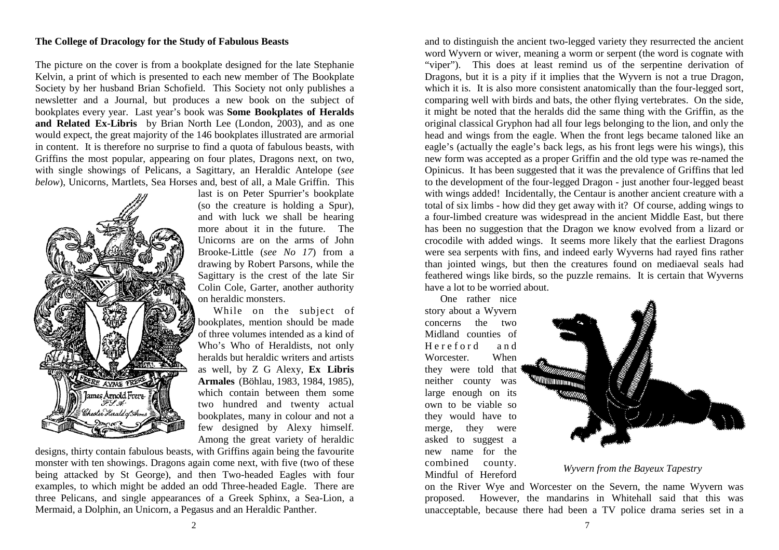### **The College of Dracology for the Study of Fabulous Beasts**

The picture on the cover is from a bookplate designed for the late Stephanie Kelvin, a print of which is presented to each new member of The Bookplate Society by her husband Brian Schofield. This Society not only publishes a newsletter and a Journal, but produces a new book on the subject of bookplates every year. Last year's book was **Some Bookplates of Heralds and Related Ex-Libris** by Brian North Lee (London, 2003), and as one would expect, the great majority of the 146 bookplates illustrated are armorial in content. It is therefore no surprise to find a quota of fabulous beasts, with Griffins the most popular, appearing on four plates, Dragons next, on two, with single showings of Pelicans, a Sagittary, an Heraldic Antelope (*see below*), Unicorns, Martlets, Sea Horses and, best of all, a Male Griffin. This



last is on Peter Spurrier's bookplate (so the creature is holding a Spur), and with luck we shall be hearing more about it in the future. The Unicorns are on the arms of John Brooke-Little (*see No 17*) from a drawing by Robert Parsons, while the Sagittary is the crest of the late Sir Colin Cole, Garter, another authority on heraldic monsters.

 While on the subject of bookplates, mention should be made of three volumes intended as a kind of Who's Who of Heraldists, not only heralds but heraldic writers and artists as well, by Z G Alexy, **Ex Libris Armales** (Böhlau, 1983, 1984, 1985), which contain between them some two hundred and twenty actual bookplates, many in colour and not a few designed by Alexy himself. Among the great variety of heraldic

designs, thirty contain fabulous beasts, with Griffins again being the favourite monster with ten showings. Dragons again come next, with five (two of these being attacked by St George), and then Two-headed Eagles with four examples, to which might be added an odd Three-headed Eagle. There are three Pelicans, and single appearances of a Greek Sphinx, a Sea-Lion, a Mermaid, a Dolphin, an Unicorn, a Pegasus and an Heraldic Panther.

and to distinguish the ancient two-legged variety they resurrected the ancient word Wyvern or wiver, meaning a worm or serpent (the word is cognate with "viper"). This does at least remind us of the serpentine derivation of Dragons, but it is a pity if it implies that the Wyvern is not a true Dragon, which it is. It is also more consistent anatomically than the four-legged sort, comparing well with birds and bats, the other flying vertebrates. On the side, it might be noted that the heralds did the same thing with the Griffin, as the original classical Gryphon had all four legs belonging to the lion, and only the head and wings from the eagle. When the front legs became taloned like an eagle's (actually the eagle's back legs, as his front legs were his wings), this new form was accepted as a proper Griffin and the old type was re-named the Opinicus. It has been suggested that it was the prevalence of Griffins that led to the development of the four-legged Dragon - just another four-legged beast with wings added! Incidentally, the Centaur is another ancient creature with a total of six limbs - how did they get away with it? Of course, adding wings to a four-limbed creature was widespread in the ancient Middle East, but there has been no suggestion that the Dragon we know evolved from a lizard or crocodile with added wings. It seems more likely that the earliest Dragons were sea serpents with fins, and indeed early Wyverns had rayed fins rather than jointed wings, but then the creatures found on mediaeval seals had feathered wings like birds, so the puzzle remains. It is certain that Wyverns have a lot to be worried about.

 One rather nice story about a Wyvern concerns the two Midland counties of Hereford and Worcester. When they were told that neither county was large enough on its own to be viable so they would have to merge, they were asked to suggest a new name for the combined county. Mindful of Hereford



*Wyvern from the Bayeux Tapestry* 

on the River Wye and Worcester on the Severn, the name Wyvern was proposed. However, the mandarins in Whitehall said that this was unacceptable, because there had been a TV police drama series set in a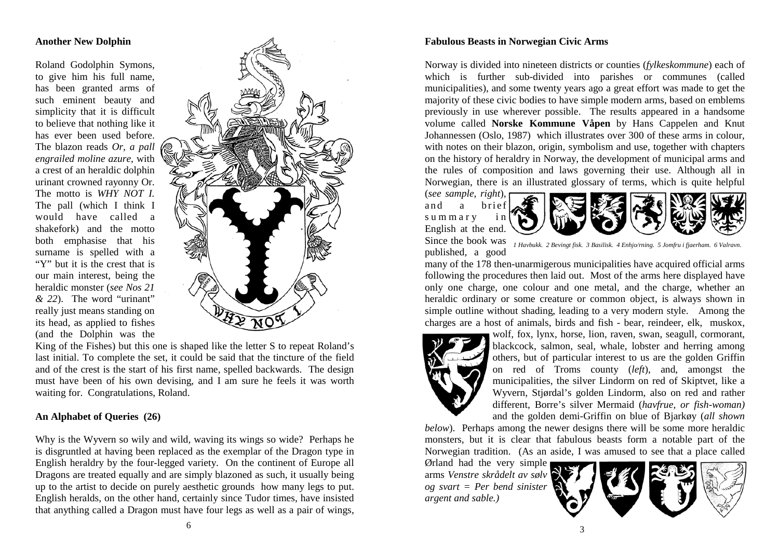# **Another New Dolphin**

Roland Godolphin Symons, to give him his full name, has been granted arms of such eminent beauty and simplicity that it is difficult to believe that nothing like it has ever been used before. The blazon reads *Or, a pall engrailed moline azure,* with a crest of an heraldic dolphin urinant crowned rayonny Or. The motto is *WHY NOT I.* The pall (which I think I would have called a shakefork) and the motto both emphasise that his surname is spelled with a "Y" but it is the crest that is our main interest, being the heraldic monster (*see Nos 21 & 22*). The word "urinant" really just means standing on its head, as applied to fishes (and the Dolphin was the



King of the Fishes) but this one is shaped like the letter S to repeat Roland's last initial. To complete the set, it could be said that the tincture of the field and of the crest is the start of his first name, spelled backwards. The design must have been of his own devising, and I am sure he feels it was worth waiting for. Congratulations, Roland.

# **An Alphabet of Queries (26)**

Why is the Wyvern so wily and wild, waving its wings so wide? Perhaps he is disgruntled at having been replaced as the exemplar of the Dragon type in English heraldry by the four-legged variety. On the continent of Europe all Dragons are treated equally and are simply blazoned as such, it usually being up to the artist to decide on purely aesthetic grounds how many legs to put. English heralds, on the other hand, certainly since Tudor times, have insisted that anything called a Dragon must have four legs as well as a pair of wings,

# **Fabulous Beasts in Norwegian Civic Arms**

Norway is divided into nineteen districts or counties (*fylkeskommune*) each of which is further sub-divided into parishes or communes (called municipalities), and some twenty years ago a great effort was made to get the majority of these civic bodies to have simple modern arms, based on emblems previously in use wherever possible. The results appeared in a handsome volume called **Norske Kommune Våpen** by Hans Cappelen and Knut Johannessen (Oslo, 1987) which illustrates over 300 of these arms in colour, with notes on their blazon, origin, symbolism and use, together with chapters on the history of heraldry in Norway, the development of municipal arms and the rules of composition and laws governing their use. Although all in Norwegian, there is an illustrated glossary of terms, which is quite helpful

(*see sample, right*), and a brief summary in English at the end.



Since the book was published, a good *1 Havbukk. 2 Bevingt fisk. 3 Basilisk. 4 Enhjo/rning. 5 Jomfru i fjaerham. 6 Valravn.*

many of the 178 then-unarmigerous municipalities have acquired official arms following the procedures then laid out. Most of the arms here displayed have only one charge, one colour and one metal, and the charge, whether an heraldic ordinary or some creature or common object, is always shown in simple outline without shading, leading to a very modern style. Among the charges are a host of animals, birds and fish - bear, reindeer, elk, muskox,



wolf, fox, lynx, horse, lion, raven, swan, seagull, cormorant, blackcock, salmon, seal, whale, lobster and herring among others, but of particular interest to us are the golden Griffin on red of Troms county (*left*), and, amongst the municipalities, the silver Lindorm on red of Skiptvet, like a Wyvern, Stjørdal's golden Lindorm, also on red and rather different, Borre's silver Mermaid (*havfrue, or fish-woman)*  and the golden demi-Griffin on blue of Bjarkøy (*all shown* 

*below*). Perhaps among the newer designs there will be some more heraldic monsters, but it is clear that fabulous beasts form a notable part of the Norwegian tradition. (As an aside, I was amused to see that a place called

Ørland had the very simple arms *Venstre skrådelt av sølv og svart = Per bend sinister argent and sable.)*